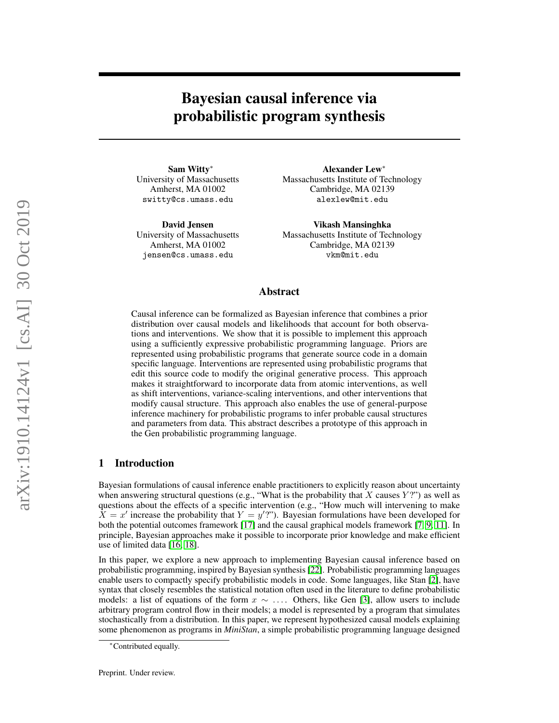# Bayesian causal inference via probabilistic program synthesis

Sam Witty<sup>∗</sup> University of Massachusetts Amherst, MA 01002 switty@cs.umass.edu

David Jensen University of Massachusetts Amherst, MA 01002 jensen@cs.umass.edu

Alexander Lew<sup>∗</sup> Massachusetts Institute of Technology Cambridge, MA 02139 alexlew@mit.edu

Vikash Mansinghka Massachusetts Institute of Technology Cambridge, MA 02139 vkm@mit.edu

## Abstract

Causal inference can be formalized as Bayesian inference that combines a prior distribution over causal models and likelihoods that account for both observations and interventions. We show that it is possible to implement this approach using a sufficiently expressive probabilistic programming language. Priors are represented using probabilistic programs that generate source code in a domain specific language. Interventions are represented using probabilistic programs that edit this source code to modify the original generative process. This approach makes it straightforward to incorporate data from atomic interventions, as well as shift interventions, variance-scaling interventions, and other interventions that modify causal structure. This approach also enables the use of general-purpose inference machinery for probabilistic programs to infer probable causal structures and parameters from data. This abstract describes a prototype of this approach in the Gen probabilistic programming language.

## 1 Introduction

Bayesian formulations of causal inference enable practitioners to explicitly reason about uncertainty when answering structural questions (e.g., "What is the probability that  $X$  causes  $Y$ ?") as well as questions about the effects of a specific intervention (e.g., "How much will intervening to make  $\tilde{X} = x'$  increase the probability that  $Y = y'$ ?"). Bayesian formulations have been developed for both the potential outcomes framework [\[17\]](#page-7-0) and the causal graphical models framework [\[7,](#page-6-0) [9,](#page-6-1) [11\]](#page-6-2). In principle, Bayesian approaches make it possible to incorporate prior knowledge and make efficient use of limited data [\[16,](#page-6-3) [18\]](#page-7-1).

In this paper, we explore a new approach to implementing Bayesian causal inference based on probabilistic programming, inspired by Bayesian synthesis [\[22\]](#page-7-2). Probabilistic programming languages enable users to compactly specify probabilistic models in code. Some languages, like Stan [\[2\]](#page-6-4), have syntax that closely resembles the statistical notation often used in the literature to define probabilistic models: a list of equations of the form  $x \sim \ldots$  Others, like Gen [\[3\]](#page-6-5), allow users to include arbitrary program control flow in their models; a model is represented by a program that simulates stochastically from a distribution. In this paper, we represent hypothesized causal models explaining some phenomenon as programs in *MiniStan*, a simple probabilistic programming language designed

<sup>∗</sup>Contributed equally.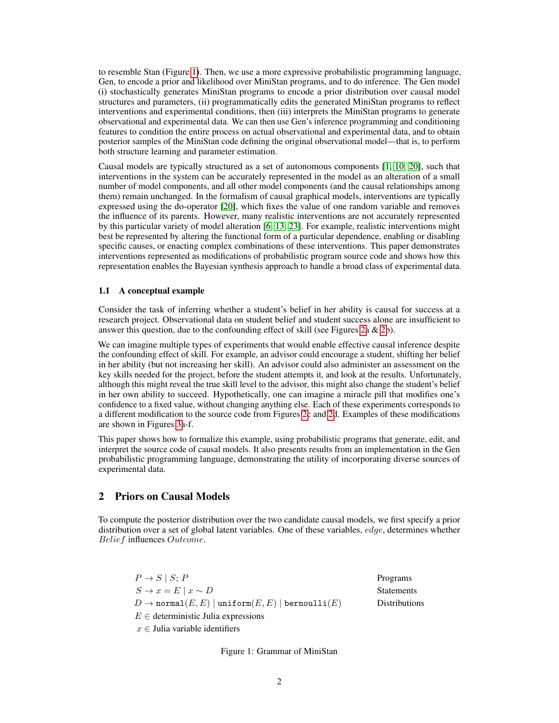to resemble Stan (Figure [1\)](#page-1-0). Then, we use a more expressive probabilistic programming language, Gen, to encode a prior and likelihood over MiniStan programs, and to do inference. The Gen model (i) stochastically generates MiniStan programs to encode a prior distribution over causal model structures and parameters, (ii) programmatically edits the generated MiniStan programs to reflect interventions and experimental conditions, then (iii) interprets the MiniStan programs to generate observational and experimental data. We can then use Gen's inference programming and conditioning features to condition the entire process on actual observational and experimental data, and to obtain posterior samples of the MiniStan code defining the original observational model—that is, to perform both structure learning and parameter estimation.

Causal models are typically structured as a set of autonomous components [\[1,](#page-6-6) [10,](#page-6-7) [20\]](#page-7-3), such that interventions in the system can be accurately represented in the model as an alteration of a small number of model components, and all other model components (and the causal relationships among them) remain unchanged. In the formalism of causal graphical models, interventions are typically expressed using the do-operator [\[20\]](#page-7-3), which fixes the value of one random variable and removes the influence of its parents. However, many realistic interventions are not accurately represented by this particular variety of model alteration [\[6,](#page-6-8) [13,](#page-6-9) [23\]](#page-7-4). For example, realistic interventions might best be represented by altering the functional form of a particular dependence, enabling or disabling specific causes, or enacting complex combinations of these interventions. This paper demonstrates interventions represented as modifications of probabilistic program source code and shows how this representation enables the Bayesian synthesis approach to handle a broad class of experimental data.

#### 1.1 A conceptual example

Consider the task of inferring whether a student's belief in her ability is causal for success at a research project. Observational data on student belief and student success alone are insufficient to answer this question, due to the confounding effect of skill (see Figures [2a](#page-2-0)  $\&$  [2b](#page-2-0)).

We can imagine multiple types of experiments that would enable effective causal inference despite the confounding effect of skill. For example, an advisor could encourage a student, shifting her belief in her ability (but not increasing her skill). An advisor could also administer an assessment on the key skills needed for the project, before the student attempts it, and look at the results. Unfortunately, although this might reveal the true skill level to the advisor, this might also change the student's belief in her own ability to succeed. Hypothetically, one can imagine a miracle pill that modifies one's confidence to a fixed value, without changing anything else. Each of these experiments corresponds to a different modification to the source code from Figures [2c](#page-2-0) and [2d](#page-2-0). Examples of these modifications are shown in Figures [3a](#page-2-1)-f.

This paper shows how to formalize this example, using probabilistic programs that generate, edit, and interpret the source code of causal models. It also presents results from an implementation in the Gen probabilistic programming language, demonstrating the utility of incorporating diverse sources of experimental data.

# 2 Priors on Causal Models

To compute the posterior distribution over the two candidate causal models, we first specify a prior distribution over a set of global latent variables. One of these variables, edge, determines whether Belief influences Outcome.

<span id="page-1-0"></span>

| $P \rightarrow S \mid S; P$                                                    | Programs          |
|--------------------------------------------------------------------------------|-------------------|
| $S \rightarrow x = E   x \sim D$                                               | <b>Statements</b> |
| $D \to \text{normal}(E, E) \mid \text{uniform}(E, E) \mid \text{bernoulli}(E)$ | Distributions     |
| $E \in$ deterministic Julia expressions                                        |                   |
| $x \in$ Julia variable identifiers                                             |                   |

Figure 1: Grammar of MiniStan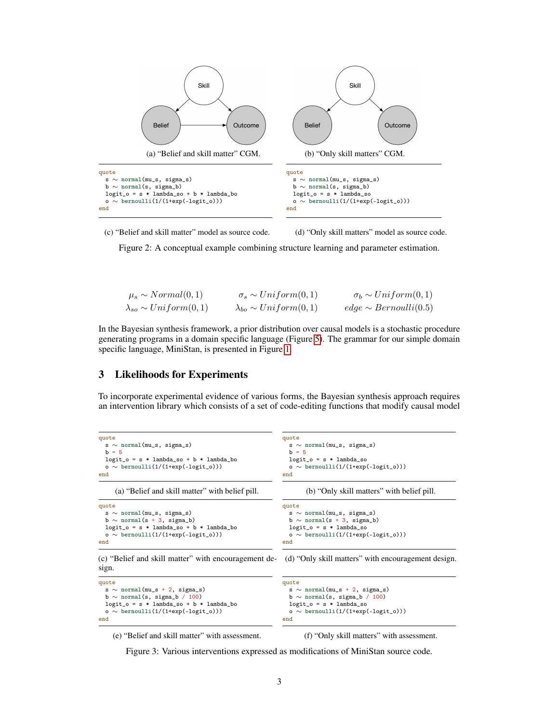<span id="page-2-0"></span>

(c) "Belief and skill matter" model as source code. (d) "Only skill matters" model as source code.

Figure 2: A conceptual example combining structure learning and parameter estimation.

$$
\mu_s \sim Normal(0, 1) \qquad \sigma_s \sim Uniform(0, 1) \qquad \sigma_b \sim Uniform(0, 1) \n\lambda_{so} \sim Uniform(0, 1) \qquad \lambda_{bo} \sim Uniform(0, 1) \qquad edge \sim Bernoulli(0.5)
$$

In the Bayesian synthesis framework, a prior distribution over causal models is a stochastic procedure generating programs in a domain specific language (Figure [5\)](#page-3-0). The grammar for our simple domain specific language, MiniStan, is presented in Figure [1.](#page-1-0)

#### 3 Likelihoods for Experiments

To incorporate experimental evidence of various forms, the Bayesian synthesis approach requires an intervention library which consists of a set of code-editing functions that modify causal model

```
quote
 s ∼ normal(mu_s, sigma_s)
 b = 5logit_o = s * lambda_so + b * lambda_bo
 o ∼ bernoulli(1/(1+exp(-logit_o)))
end
    (a) "Belief and skill matter" with belief pill.
                                                        quote
                                                         s ∼ normal(mu_s, sigma_s)
                                                         b = 5logit_0 = s * lambda_so
                                                         o ∼ bernoulli(1/(1+exp(-logit_o)))
                                                        end
                                                               (b) "Only skill matters" with belief pill.
quote
 s ∼ normal(mu_s, sigma_s)
 b \sim normal(s + 3, sigma_b)
 logit_0 = s * lambda_so + b * lambda_bo
 o ∼ bernoulli(1/(1+exp(-logit_o)))
end
(c) "Belief and skill matter" with encouragement de-
sign.
                                                        quote
                                                         s ∼ normal(mu_s, sigma_s)
                                                         b ∼ normal(s + 3, sigma_b)
                                                         logit_0 = s * lambda_so
                                                         o ∼ bernoulli(1/(1+exp(-logit_o)))
                                                        end
                                                        (d) "Only skill matters" with encouragement design.
quote
                                                        quote
```

```
s ∼ normal(mu_s + 2, sigma_s)
  b ∼ normal(s, sigma_b / 100)
  logit_o = s * lambda_so + b * lambda_bo<br>o \sim bernoulli(1/(1+exp(-logit o)))
     o ∼ bernoulli(1/(1+exp(-logit_o)))
end
```
s ∼ normal(mu\_s + 2, sigma\_s) b ∼ normal(s, sigma\_b / 100) logit\_o = s \* lambda\_so<br>o  $\sim$  bernoulli(1/(1+exp o ∼ bernoulli(1/(1+exp(-logit\_o))) end

(e) "Belief and skill matter" with assessment.

(f) "Only skill matters" with assessment.

Figure 3: Various interventions expressed as modifications of MiniStan source code.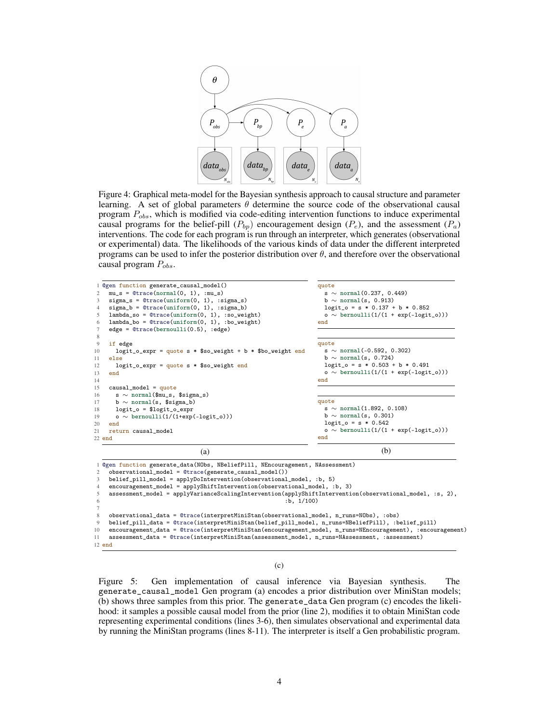

Figure 4: Graphical meta-model for the Bayesian synthesis approach to causal structure and parameter learning. A set of global parameters  $\theta$  determine the source code of the observational causal program  $P_{obs}$ , which is modified via code-editing intervention functions to induce experimental causal programs for the belief-pill  $(P_{bp})$  encouragement design  $(P_e)$ , and the assessment  $(P_a)$ interventions. The code for each program is run through an interpreter, which generates (observational or experimental) data. The likelihoods of the various kinds of data under the different interpreted programs can be used to infer the posterior distribution over  $\theta$ , and therefore over the observational causal program  $P_{obs}$ .

<span id="page-3-0"></span>

| 1 Ogen function generate_causal_model()<br>$mu_s = 0$ trace(normal(0, 1), :mu_s)<br>2<br>$sigma_s =$ @trace(uniform(0, 1), :sigma_s)<br>3<br>$sigma_b =$ @trace(uniform(0, 1), :sigma_b)<br>4<br>$lambda_s$ = @trace(uniform(0, 1), :so_weight)<br>5<br>$lambda_b = 0$ trace(uniform(0, 1), :bo_weight)<br>6<br>$edge = @trace(bernoulli(0.5), :edge)$<br>$7\phantom{.0}$                                                                                                                                                                                                                                                                                                                                                                                                                                                                                                                                       | quote<br>s $\sim$ normal(0.237, 0.449)<br>$b \sim$ normal(s, 0.913)<br>$logit_0 = s * 0.137 + b * 0.852$<br>$o \sim \text{bernoulli}(1/(1 + \exp(-\text{logit}_o)))$<br>end  |
|-----------------------------------------------------------------------------------------------------------------------------------------------------------------------------------------------------------------------------------------------------------------------------------------------------------------------------------------------------------------------------------------------------------------------------------------------------------------------------------------------------------------------------------------------------------------------------------------------------------------------------------------------------------------------------------------------------------------------------------------------------------------------------------------------------------------------------------------------------------------------------------------------------------------|------------------------------------------------------------------------------------------------------------------------------------------------------------------------------|
| 8<br>9<br>if edge<br>$logit_o$ -expr = quote s * \$so_weight + b * \$bo_weight end<br>10<br>else<br>11<br>$logit_o$ -expr = quote s * \$so_weight end<br>12<br>13<br>end<br>14                                                                                                                                                                                                                                                                                                                                                                                                                                                                                                                                                                                                                                                                                                                                  | quote<br>s $\sim$ normal(-0.592, 0.302)<br>$b \sim$ normal(s, 0.724)<br>$logit_0 = s * 0.503 + b * 0.491$<br>$o \sim \text{bernoulli}(1/(1 + \exp(-\text{logit}_o)))$<br>end |
| $causal_model = quote$<br>15<br>$s \sim$ normal(\$mu_s, \$sigma_s)<br>16<br>b $\sim$ normal(s, \$sigma_b)<br>17<br>$logit_o = $logit_o-expr$<br>18<br>o $\sim$ bernoulli(1/(1+exp(-logit_o)))<br>19<br>20<br>end<br>21<br>return causal_model<br>$22$ end                                                                                                                                                                                                                                                                                                                                                                                                                                                                                                                                                                                                                                                       | quote<br>s $\sim$ normal(1.892, 0.108)<br>$b \sim$ normal(s, 0.301)<br>$logit_0 = s * 0.542$<br>$o \sim \text{bernoulli}(1/(1 + \exp(-\text{logit}_o)))$<br>end              |
| (a)                                                                                                                                                                                                                                                                                                                                                                                                                                                                                                                                                                                                                                                                                                                                                                                                                                                                                                             | (b)                                                                                                                                                                          |
| 1 @gen function generate_data(NObs, NBeliefPill, NEncouragement, NAssessment)<br>observational_model = @trace(generate_causal_model())<br>2<br>belief_pill_model = applyDoIntervention(observational_model, :b, 5)<br>3<br>encouragement_model = applyShiftIntervention(observational_model, :b, 3)<br>$\overline{4}$<br>assessment_model = applyVarianceScalingIntervention(applyShiftIntervention(observational_model, :s, 2),<br>5<br>:b. 1/100)<br>6<br>$7\phantom{.0}$<br>observational_data = @trace(interpretMiniStan(observational_model, n_runs=NObs), :obs)<br>8<br>belief_pill_data = @trace(interpretMiniStan(belief_pill_model, n_runs=NBeliefPill), :belief_pill)<br>9<br>encouragement_data = @trace(interpretMiniStan(encouragement_model, n_runs=NEncouragement), :encouragement)<br>10<br>assessment_data = @trace(interpretMiniStan(assessment_model, n_runs=NAssessment, :assessment)<br>11 |                                                                                                                                                                              |

12 end

(c)

Figure 5: Gen implementation of causal inference via Bayesian synthesis. The generate\_causal\_model Gen program (a) encodes a prior distribution over MiniStan models; (b) shows three samples from this prior. The generate\_data Gen program (c) encodes the likelihood: it samples a possible causal model from the prior (line 2), modifies it to obtain MiniStan code representing experimental conditions (lines 3-6), then simulates observational and experimental data by running the MiniStan programs (lines 8-11). The interpreter is itself a Gen probabilistic program.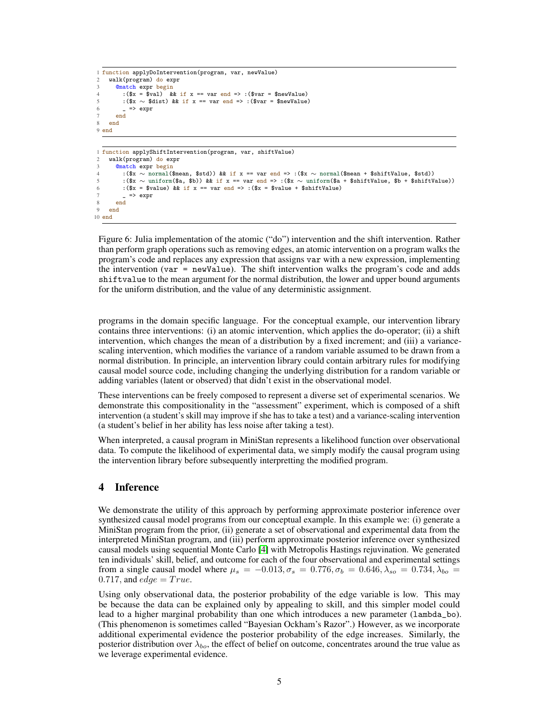```
1 function applyDoIntervention(program, var, newValue)<br>2 walk(program) do expr
    walk(program) do expr
       @match expr begin
         :(x = \sin \theta) & if x == var end => :(\sin x = \sin \theta)
         :($x \sim $dist) && if x == var end => :($var = $newValue)
6 \qquad \qquad = \qquad = > expr
       7 end
8 end
9 end
1 function applyShiftIntervention(program, var, shiftValue)
    walk(program) do expr
       @match expr begin
         4 :($x ∼ normal($mean, $std)) && if x == var end => :($x ∼ normal($mean + $shiftValue, $std))
         5 :($x ∼ uniform($a, $b)) && if x == var end => :($x ∼ uniform($a + $shiftValue, $b + $shiftValue))
6 : (\$x = \$value) && if x == var end => : (\$x = \$value + \$shiftValue)\Rightarrow expr
8 end
9 end
10 end
```
Figure 6: Julia implementation of the atomic ("do") intervention and the shift intervention. Rather than perform graph operations such as removing edges, an atomic intervention on a program walks the program's code and replaces any expression that assigns var with a new expression, implementing the intervention (var = newValue). The shift intervention walks the program's code and adds shiftvalue to the mean argument for the normal distribution, the lower and upper bound arguments for the uniform distribution, and the value of any deterministic assignment.

programs in the domain specific language. For the conceptual example, our intervention library contains three interventions: (i) an atomic intervention, which applies the do-operator; (ii) a shift intervention, which changes the mean of a distribution by a fixed increment; and (iii) a variancescaling intervention, which modifies the variance of a random variable assumed to be drawn from a normal distribution. In principle, an intervention library could contain arbitrary rules for modifying causal model source code, including changing the underlying distribution for a random variable or adding variables (latent or observed) that didn't exist in the observational model.

These interventions can be freely composed to represent a diverse set of experimental scenarios. We demonstrate this compositionality in the "assessment" experiment, which is composed of a shift intervention (a student's skill may improve if she has to take a test) and a variance-scaling intervention (a student's belief in her ability has less noise after taking a test).

When interpreted, a causal program in MiniStan represents a likelihood function over observational data. To compute the likelihood of experimental data, we simply modify the causal program using the intervention library before subsequently interpretting the modified program.

# 4 Inference

We demonstrate the utility of this approach by performing approximate posterior inference over synthesized causal model programs from our conceptual example. In this example we: (i) generate a MiniStan program from the prior, (ii) generate a set of observational and experimental data from the interpreted MiniStan program, and (iii) perform approximate posterior inference over synthesized causal models using sequential Monte Carlo [\[4\]](#page-6-10) with Metropolis Hastings rejuvination. We generated ten individuals' skill, belief, and outcome for each of the four observational and experimental settings from a single causal model where  $\mu_s = -0.013, \sigma_s = 0.776, \sigma_b = 0.646, \lambda_{so} = 0.734, \lambda_{bo} = 0.005$ 0.717, and  $edge = True$ .

Using only observational data, the posterior probability of the edge variable is low. This may be because the data can be explained only by appealing to skill, and this simpler model could lead to a higher marginal probability than one which introduces a new parameter (lambda\_bo). (This phenomenon is sometimes called "Bayesian Ockham's Razor".) However, as we incorporate additional experimental evidence the posterior probability of the edge increases. Similarly, the posterior distribution over  $\lambda_{bo}$ , the effect of belief on outcome, concentrates around the true value as we leverage experimental evidence.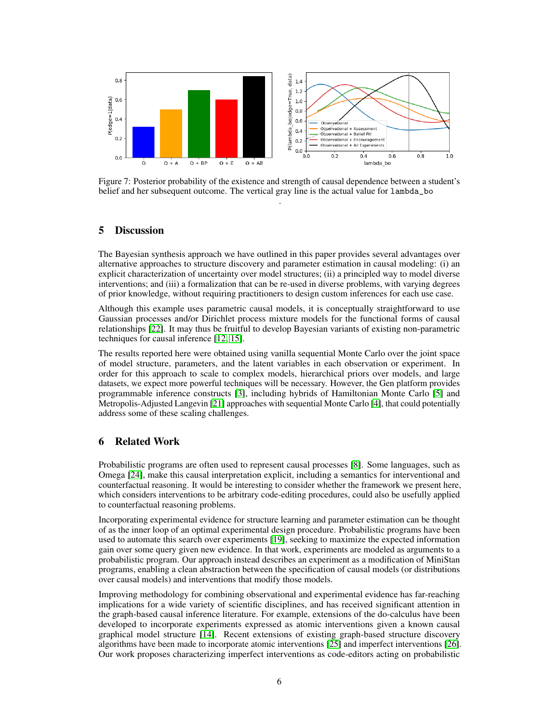

Figure 7: Posterior probability of the existence and strength of causal dependence between a student's belief and her subsequent outcome. The vertical gray line is the actual value for lambda\_bo .

# 5 Discussion

The Bayesian synthesis approach we have outlined in this paper provides several advantages over alternative approaches to structure discovery and parameter estimation in causal modeling: (i) an explicit characterization of uncertainty over model structures; (ii) a principled way to model diverse interventions; and (iii) a formalization that can be re-used in diverse problems, with varying degrees of prior knowledge, without requiring practitioners to design custom inferences for each use case.

Although this example uses parametric causal models, it is conceptually straightforward to use Gaussian processes and/or Dirichlet process mixture models for the functional forms of causal relationships [\[22\]](#page-7-2). It may thus be fruitful to develop Bayesian variants of existing non-parametric techniques for causal inference [\[12,](#page-6-11) [15\]](#page-6-12).

The results reported here were obtained using vanilla sequential Monte Carlo over the joint space of model structure, parameters, and the latent variables in each observation or experiment. In order for this approach to scale to complex models, hierarchical priors over models, and large datasets, we expect more powerful techniques will be necessary. However, the Gen platform provides programmable inference constructs [\[3\]](#page-6-5), including hybrids of Hamiltonian Monte Carlo [\[5\]](#page-6-13) and Metropolis-Adjusted Langevin [\[21\]](#page-7-5) approaches with sequential Monte Carlo [\[4\]](#page-6-10), that could potentially address some of these scaling challenges.

## 6 Related Work

Probabilistic programs are often used to represent causal processes [\[8\]](#page-6-14). Some languages, such as Omega [\[24\]](#page-7-6), make this causal interpretation explicit, including a semantics for interventional and counterfactual reasoning. It would be interesting to consider whether the framework we present here, which considers interventions to be arbitrary code-editing procedures, could also be usefully applied to counterfactual reasoning problems.

Incorporating experimental evidence for structure learning and parameter estimation can be thought of as the inner loop of an optimal experimental design procedure. Probabilistic programs have been used to automate this search over experiments [\[19\]](#page-7-7), seeking to maximize the expected information gain over some query given new evidence. In that work, experiments are modeled as arguments to a probabilistic program. Our approach instead describes an experiment as a modification of MiniStan programs, enabling a clean abstraction between the specification of causal models (or distributions over causal models) and interventions that modify those models.

Improving methodology for combining observational and experimental evidence has far-reaching implications for a wide variety of scientific disciplines, and has received significant attention in the graph-based causal inference literature. For example, extensions of the do-calculus have been developed to incorporate experiments expressed as atomic interventions given a known causal graphical model structure [\[14\]](#page-6-15). Recent extensions of existing graph-based structure discovery algorithms have been made to incorporate atomic interventions [\[25\]](#page-7-8) and imperfect interventions [\[26\]](#page-7-9). Our work proposes characterizing imperfect interventions as code-editors acting on probabilistic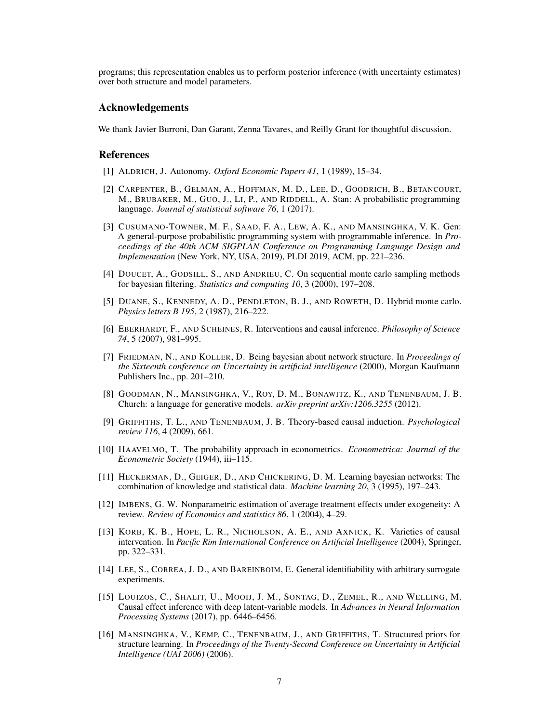programs; this representation enables us to perform posterior inference (with uncertainty estimates) over both structure and model parameters.

#### Acknowledgements

We thank Javier Burroni, Dan Garant, Zenna Tavares, and Reilly Grant for thoughtful discussion.

#### References

- <span id="page-6-6"></span>[1] ALDRICH, J. Autonomy. *Oxford Economic Papers 41*, 1 (1989), 15–34.
- <span id="page-6-4"></span>[2] CARPENTER, B., GELMAN, A., HOFFMAN, M. D., LEE, D., GOODRICH, B., BETANCOURT, M., BRUBAKER, M., GUO, J., LI, P., AND RIDDELL, A. Stan: A probabilistic programming language. *Journal of statistical software 76*, 1 (2017).
- <span id="page-6-5"></span>[3] CUSUMANO-TOWNER, M. F., SAAD, F. A., LEW, A. K., AND MANSINGHKA, V. K. Gen: A general-purpose probabilistic programming system with programmable inference. In *Proceedings of the 40th ACM SIGPLAN Conference on Programming Language Design and Implementation* (New York, NY, USA, 2019), PLDI 2019, ACM, pp. 221–236.
- <span id="page-6-10"></span>[4] DOUCET, A., GODSILL, S., AND ANDRIEU, C. On sequential monte carlo sampling methods for bayesian filtering. *Statistics and computing 10*, 3 (2000), 197–208.
- <span id="page-6-13"></span>[5] DUANE, S., KENNEDY, A. D., PENDLETON, B. J., AND ROWETH, D. Hybrid monte carlo. *Physics letters B 195*, 2 (1987), 216–222.
- <span id="page-6-8"></span>[6] EBERHARDT, F., AND SCHEINES, R. Interventions and causal inference. *Philosophy of Science 74*, 5 (2007), 981–995.
- <span id="page-6-0"></span>[7] FRIEDMAN, N., AND KOLLER, D. Being bayesian about network structure. In *Proceedings of the Sixteenth conference on Uncertainty in artificial intelligence* (2000), Morgan Kaufmann Publishers Inc., pp. 201–210.
- <span id="page-6-14"></span>[8] GOODMAN, N., MANSINGHKA, V., ROY, D. M., BONAWITZ, K., AND TENENBAUM, J. B. Church: a language for generative models. *arXiv preprint arXiv:1206.3255* (2012).
- <span id="page-6-1"></span>[9] GRIFFITHS, T. L., AND TENENBAUM, J. B. Theory-based causal induction. *Psychological review 116*, 4 (2009), 661.
- <span id="page-6-7"></span>[10] HAAVELMO, T. The probability approach in econometrics. *Econometrica: Journal of the Econometric Society* (1944), iii–115.
- <span id="page-6-2"></span>[11] HECKERMAN, D., GEIGER, D., AND CHICKERING, D. M. Learning bayesian networks: The combination of knowledge and statistical data. *Machine learning 20*, 3 (1995), 197–243.
- <span id="page-6-11"></span>[12] IMBENS, G. W. Nonparametric estimation of average treatment effects under exogeneity: A review. *Review of Economics and statistics 86*, 1 (2004), 4–29.
- <span id="page-6-9"></span>[13] KORB, K. B., HOPE, L. R., NICHOLSON, A. E., AND AXNICK, K. Varieties of causal intervention. In *Pacific Rim International Conference on Artificial Intelligence* (2004), Springer, pp. 322–331.
- <span id="page-6-15"></span>[14] LEE, S., CORREA, J. D., AND BAREINBOIM, E. General identifiability with arbitrary surrogate experiments.
- <span id="page-6-12"></span>[15] LOUIZOS, C., SHALIT, U., MOOIJ, J. M., SONTAG, D., ZEMEL, R., AND WELLING, M. Causal effect inference with deep latent-variable models. In *Advances in Neural Information Processing Systems* (2017), pp. 6446–6456.
- <span id="page-6-3"></span>[16] MANSINGHKA, V., KEMP, C., TENENBAUM, J., AND GRIFFITHS, T. Structured priors for structure learning. In *Proceedings of the Twenty-Second Conference on Uncertainty in Artificial Intelligence (UAI 2006)* (2006).